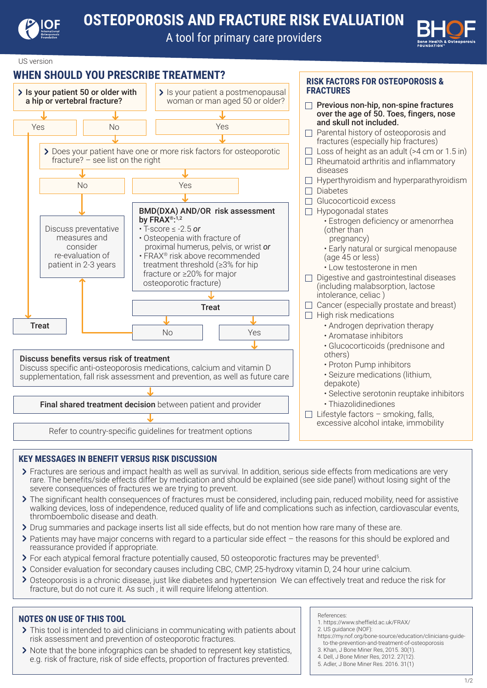

A tool for primary care providers



US version

## **WHEN SHOULD YOU PRESCRIBE TREATMENT?**



### **KEY MESSAGES IN BENEFIT VERSUS RISK DISCUSSION**

- Fractures are serious and impact health as well as survival. In addition, serious side effects from medications are very rare. The benefits/side effects differ by medication and should be explained (see side panel) without losing sight of the severe consequences of fractures we are trying to prevent.
- > The significant health consequences of fractures must be considered, including pain, reduced mobility, need for assistive walking devices, loss of independence, reduced quality of life and complications such as infection, cardiovascular events, thromboembolic disease and death.
- > Drug summaries and package inserts list all side effects, but do not mention how rare many of these are.
- $\triangleright$  Patients may have major concerns with regard to a particular side effect the reasons for this should be explored and reassurance provided if appropriate.
- For each atypical femoral fracture potentially caused, 50 osteoporotic fractures may be prevented5 .
- Consider evaluation for secondary causes including CBC, CMP, 25-hydroxy vitamin D, 24 hour urine calcium.
- Osteoporosis is a chronic disease, just like diabetes and hypertension We can effectively treat and reduce the risk for fracture, but do not cure it. As such , it will require lifelong attention.

### **NOTES ON USE OF THIS TOOL**

.

- > This tool is intended to aid clinicians in communicating with patients about risk assessment and prevention of osteoporotic fractures.
- Note that the bone infographics can be shaded to represent key statistics, e.g. risk of fracture, risk of side effects, proportion of fractures prevented.

#### References:

- 1. https://www.sheffield.ac.uk/FRAX/
- 2. US guidance (NOF):
- https://my.nof.org/bone-source/education/clinicians-guide to-the-prevention-and-treatment-of-osteoporosis
- 3. Khan, J Bone Miner Res, 2015. 30(1).
- 4. Dell, J Bone Miner Res, 2012. 27(12).
- 5. Adler, J Bone Miner Res. 2016. 31(1)